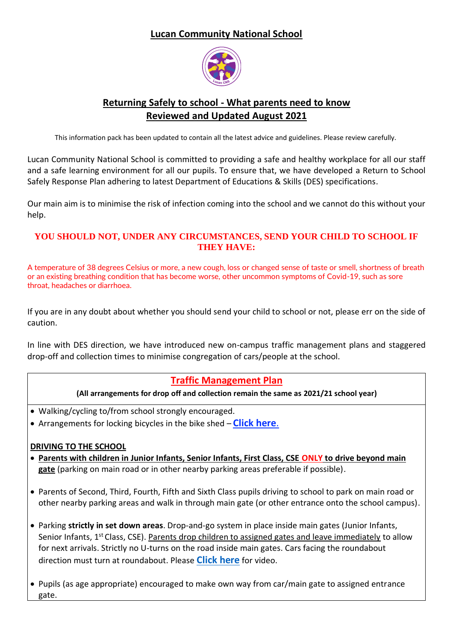### **Lucan Community National School**



# **Returning Safely to school - What parents need to know Reviewed and Updated August 2021**

This information pack has been updated to contain all the latest advice and guidelines. Please review carefully.

Lucan Community National School is committed to providing a safe and healthy workplace for all our staff and a safe learning environment for all our pupils. To ensure that, we have developed a Return to School Safely Response Plan adhering to latest Department of Educations & Skills (DES) specifications.

Our main aim is to minimise the risk of infection coming into the school and we cannot do this without your help.

#### **YOU SHOULD NOT, UNDER ANY CIRCUMSTANCES, SEND YOUR CHILD TO SCHOOL IF THEY HAVE:**

A temperature of 38 degrees Celsius or more, a new cough, loss or changed sense of taste or smell, shortness of breath or an existing breathing condition that has become worse, other uncommon symptoms of Covid-19, such as sore throat, headaches or diarrhoea.

If you are in any doubt about whether you should send your child to school or not, please err on the side of caution.

In line with DES direction, we have introduced new on-campus traffic management plans and staggered drop-off and collection times to minimise congregation of cars/people at the school.

### **Traffic Management Plan**

#### **(All arrangements for drop off and collection remain the same as 2021/21 school year)**

- Walking/cycling to/from school strongly encouraged.
- Arrangements for locking bicycles in the bike shed **[Click here](https://vimeo.com/449733128/7c1979e0da)**.

#### **DRIVING TO THE SCHOOL**

- **Parents with children in Junior Infants, Senior Infants, First Class, CSE ONLY to drive beyond main gate** (parking on main road or in other nearby parking areas preferable if possible).
- Parents of Second, Third, Fourth, Fifth and Sixth Class pupils driving to school to park on main road or other nearby parking areas and walk in through main gate (or other entrance onto the school campus).
- Parking **strictly in set down areas**. Drop-and-go system in place inside main gates (Junior Infants, Senior Infants, 1<sup>st</sup> Class, CSE). Parents drop children to assigned gates and leave immediately to allow for next arrivals. Strictly no U-turns on the road inside main gates. Cars facing the roundabout direction must turn at roundabout. Please **[Click here](https://vimeo.com/449764990/d9d5a2eabc)** for video.
- Pupils (as age appropriate) encouraged to make own way from car/main gate to assigned entrance gate.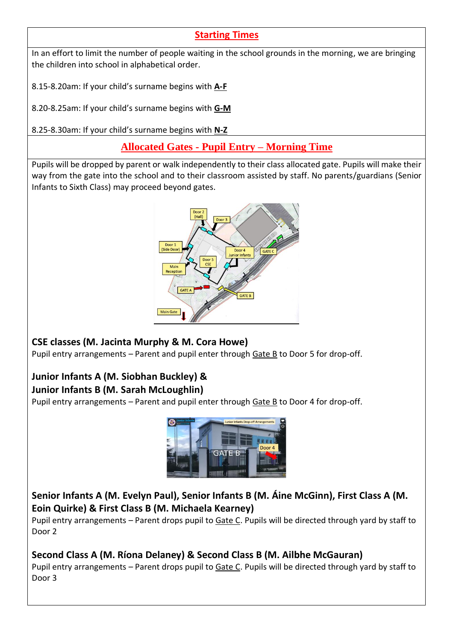### **Starting Times**

In an effort to limit the number of people waiting in the school grounds in the morning, we are bringing the children into school in alphabetical order.

8.15-8.20am: If your child's surname begins with **A-F**

8.20-8.25am: If your child's surname begins with **G-M**

8.25-8.30am: If your child's surname begins with **N-Z**

**Allocated Gates - Pupil Entry – Morning Time**

Pupils will be dropped by parent or walk independently to their class allocated gate. Pupils will make their way from the gate into the school and to their classroom assisted by staff. No parents/guardians (Senior Infants to Sixth Class) may proceed beyond gates.



### **CSE classes (M. Jacinta Murphy & M. Cora Howe)**

Pupil entry arrangements – Parent and pupil enter through Gate B to Door 5 for drop-off.

### **Junior Infants A (M. Siobhan Buckley) & Junior Infants B (M. Sarah McLoughlin)**

Pupil entry arrangements - Parent and pupil enter through Gate B to Door 4 for drop-off.



# **Senior Infants A (M. Evelyn Paul), Senior Infants B (M. Áine McGinn), First Class A (M. Eoin Quirke) & First Class B (M. Michaela Kearney)**

Pupil entry arrangements – Parent drops pupil to Gate C. Pupils will be directed through yard by staff to Door 2

### **Second Class A (M. Ríona Delaney) & Second Class B (M. Ailbhe McGauran)**

Pupil entry arrangements - Parent drops pupil to Gate C. Pupils will be directed through yard by staff to Door 3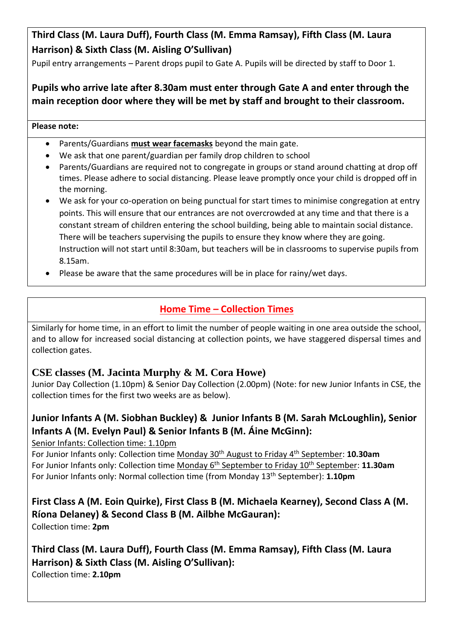# **Third Class (M. Laura Duff), Fourth Class (M. Emma Ramsay), Fifth Class (M. Laura Harrison) & Sixth Class (M. Aisling O'Sullivan)**

Pupil entry arrangements – Parent drops pupil to Gate A. Pupils will be directed by staff to Door 1.

### **Pupils who arrive late after 8.30am must enter through Gate A and enter through the main reception door where they will be met by staff and brought to their classroom.**

#### **Please note:**

- Parents/Guardians **must wear facemasks** beyond the main gate.
- We ask that one parent/guardian per family drop children to school
- Parents/Guardians are required not to congregate in groups or stand around chatting at drop off times. Please adhere to social distancing. Please leave promptly once your child is dropped off in the morning.
- We ask for your co-operation on being punctual for start times to minimise congregation at entry points. This will ensure that our entrances are not overcrowded at any time and that there is a constant stream of children entering the school building, being able to maintain social distance. There will be teachers supervising the pupils to ensure they know where they are going. Instruction will not start until 8:30am, but teachers will be in classrooms to supervise pupils from 8.15am.
- Please be aware that the same procedures will be in place for rainy/wet days.

### **Home Time – Collection Times**

Similarly for home time, in an effort to limit the number of people waiting in one area outside the school, and to allow for increased social distancing at collection points, we have staggered dispersal times and collection gates.

### **CSE classes (M. Jacinta Murphy & M. Cora Howe)**

Junior Day Collection (1.10pm) & Senior Day Collection (2.00pm) (Note: for new Junior Infants in CSE, the collection times for the first two weeks are as below).

### **Junior Infants A (M. Siobhan Buckley) & Junior Infants B (M. Sarah McLoughlin), Senior Infants A (M. Evelyn Paul) & Senior Infants B (M. Áine McGinn):**

Senior Infants: Collection time: 1.10pm

For Junior Infants only: Collection time Monday 30th August to Friday 4th September: **10.30am** For Junior Infants only: Collection time Monday 6<sup>th</sup> September to Friday 10<sup>th</sup> September: 11.30am For Junior Infants only: Normal collection time (from Monday 13<sup>th</sup> September): **1.10pm** 

# **First Class A (M. Eoin Quirke), First Class B (M. Michaela Kearney), Second Class A (M. Ríona Delaney) & Second Class B (M. Ailbhe McGauran):**

Collection time: **2pm**

### **Third Class (M. Laura Duff), Fourth Class (M. Emma Ramsay), Fifth Class (M. Laura Harrison) & Sixth Class (M. Aisling O'Sullivan):** Collection time: **2.10pm**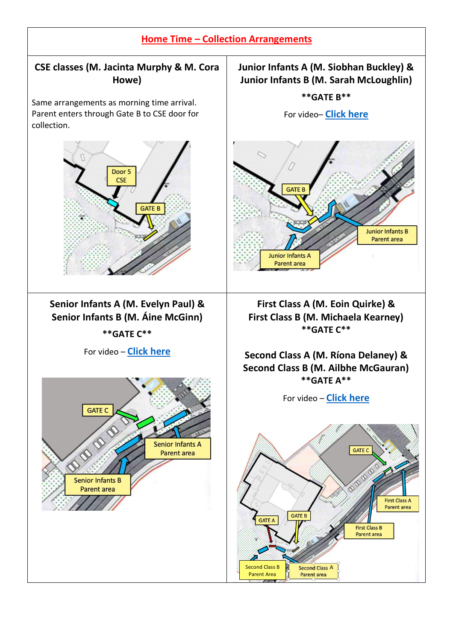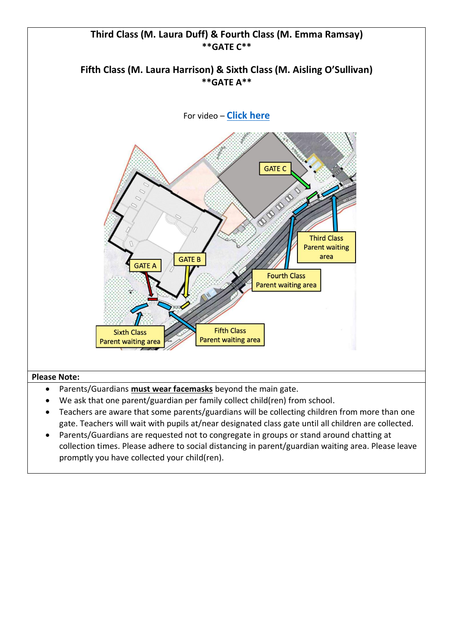

- gate. Teachers will wait with pupils at/near designated class gate until all children are collected. • Parents/Guardians are requested not to congregate in groups or stand around chatting at
- collection times. Please adhere to social distancing in parent/guardian waiting area. Please leave promptly you have collected your child(ren).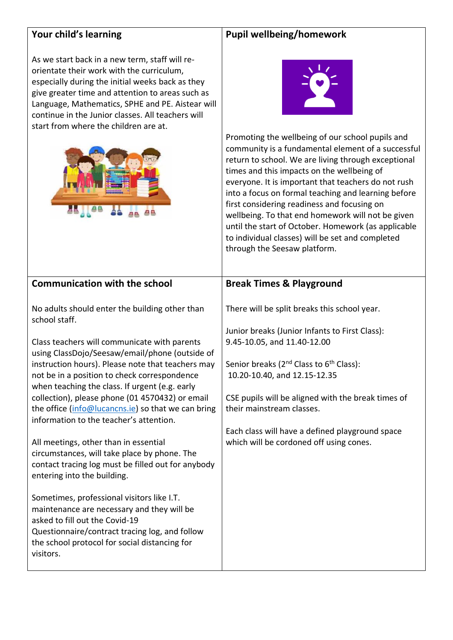# **Your child's learning**

### **Pupil wellbeing/homework**

As we start back in a new term, staff will reorientate their work with the curriculum, especially during the initial weeks back as they give greater time and attention to areas such as Language, Mathematics, SPHE and PE. Aistear will continue in the Junior classes. All teachers will start from where the children are at.





Promoting the wellbeing of our school pupils and community is a fundamental element of a successful return to school. We are living through exceptional times and this impacts on the wellbeing of everyone. It is important that teachers do not rush into a focus on formal teaching and learning before first considering readiness and focusing on wellbeing. To that end homework will not be given until the start of October. Homework (as applicable to individual classes) will be set and completed through the Seesaw platform.

| <b>Communication with the school</b>                                                                                                                                                                                                       | <b>Break Times &amp; Playground</b>                                                             |
|--------------------------------------------------------------------------------------------------------------------------------------------------------------------------------------------------------------------------------------------|-------------------------------------------------------------------------------------------------|
| No adults should enter the building other than<br>school staff.                                                                                                                                                                            | There will be split breaks this school year.                                                    |
| Class teachers will communicate with parents                                                                                                                                                                                               | Junior breaks (Junior Infants to First Class):<br>9.45-10.05, and 11.40-12.00                   |
| using ClassDojo/Seesaw/email/phone (outside of                                                                                                                                                                                             |                                                                                                 |
| instruction hours). Please note that teachers may<br>not be in a position to check correspondence                                                                                                                                          | Senior breaks (2 <sup>nd</sup> Class to 6 <sup>th</sup> Class):<br>10.20-10.40, and 12.15-12.35 |
| when teaching the class. If urgent (e.g. early<br>collection), please phone (01 4570432) or email                                                                                                                                          | CSE pupils will be aligned with the break times of                                              |
| the office (info@lucancns.ie) so that we can bring                                                                                                                                                                                         | their mainstream classes.                                                                       |
| information to the teacher's attention.                                                                                                                                                                                                    | Each class will have a defined playground space                                                 |
| All meetings, other than in essential<br>circumstances, will take place by phone. The                                                                                                                                                      | which will be cordoned off using cones.                                                         |
| contact tracing log must be filled out for anybody                                                                                                                                                                                         |                                                                                                 |
| entering into the building.                                                                                                                                                                                                                |                                                                                                 |
| Sometimes, professional visitors like I.T.<br>maintenance are necessary and they will be<br>asked to fill out the Covid-19<br>Questionnaire/contract tracing log, and follow<br>the school protocol for social distancing for<br>visitors. |                                                                                                 |
|                                                                                                                                                                                                                                            |                                                                                                 |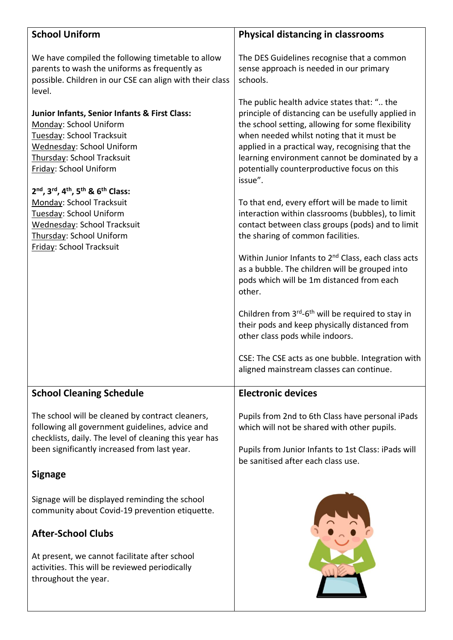| <b>School Uniform</b>                                                                                                                                                                                         | <b>Physical distancing in classrooms</b>                                                                                                                                                                                                                                                                                                                           |
|---------------------------------------------------------------------------------------------------------------------------------------------------------------------------------------------------------------|--------------------------------------------------------------------------------------------------------------------------------------------------------------------------------------------------------------------------------------------------------------------------------------------------------------------------------------------------------------------|
| We have compiled the following timetable to allow<br>parents to wash the uniforms as frequently as<br>possible. Children in our CSE can align with their class<br>level.                                      | The DES Guidelines recognise that a common<br>sense approach is needed in our primary<br>schools.                                                                                                                                                                                                                                                                  |
| Junior Infants, Senior Infants & First Class:<br>Monday: School Uniform<br>Tuesday: School Tracksuit<br>Wednesday: School Uniform<br>Thursday: School Tracksuit<br>Friday: School Uniform                     | The public health advice states that: " the<br>principle of distancing can be usefully applied in<br>the school setting, allowing for some flexibility<br>when needed whilst noting that it must be<br>applied in a practical way, recognising that the<br>learning environment cannot be dominated by a<br>potentially counterproductive focus on this<br>issue". |
| 2nd, 3rd, 4th, 5th & 6th Class:<br>Monday: School Tracksuit<br>Tuesday: School Uniform<br>Wednesday: School Tracksuit<br>Thursday: School Uniform                                                             | To that end, every effort will be made to limit<br>interaction within classrooms (bubbles), to limit<br>contact between class groups (pods) and to limit<br>the sharing of common facilities.                                                                                                                                                                      |
| Friday: School Tracksuit                                                                                                                                                                                      | Within Junior Infants to 2 <sup>nd</sup> Class, each class acts<br>as a bubble. The children will be grouped into<br>pods which will be 1m distanced from each<br>other.                                                                                                                                                                                           |
|                                                                                                                                                                                                               | Children from 3 <sup>rd</sup> -6 <sup>th</sup> will be required to stay in<br>their pods and keep physically distanced from<br>other class pods while indoors.                                                                                                                                                                                                     |
|                                                                                                                                                                                                               | CSE: The CSE acts as one bubble. Integration with<br>aligned mainstream classes can continue.                                                                                                                                                                                                                                                                      |
| <b>School Cleaning Schedule</b>                                                                                                                                                                               | <b>Electronic devices</b>                                                                                                                                                                                                                                                                                                                                          |
| The school will be cleaned by contract cleaners,<br>following all government guidelines, advice and<br>checklists, daily. The level of cleaning this year has<br>been significantly increased from last year. | Pupils from 2nd to 6th Class have personal iPads<br>which will not be shared with other pupils.<br>Pupils from Junior Infants to 1st Class: iPads will                                                                                                                                                                                                             |
| <b>Signage</b>                                                                                                                                                                                                | be sanitised after each class use.                                                                                                                                                                                                                                                                                                                                 |
| Signage will be displayed reminding the school<br>community about Covid-19 prevention etiquette.                                                                                                              |                                                                                                                                                                                                                                                                                                                                                                    |
| <b>After-School Clubs</b><br>At present, we cannot facilitate after school<br>activities. This will be reviewed periodically<br>throughout the year.                                                          |                                                                                                                                                                                                                                                                                                                                                                    |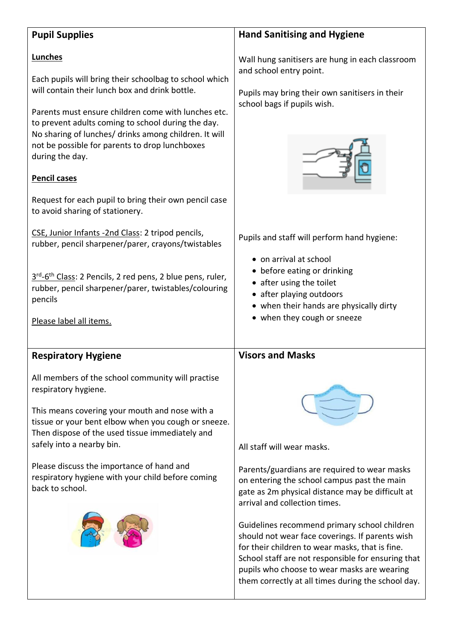| <b>Pupil Supplies</b>                                                                                                                                                                                                                                                                                                                                                                                                                                                             | <b>Hand Sanitising and Hygiene</b>                                                                                                                                                                                                                                                                                                                                                                                                                                                                                                                         |
|-----------------------------------------------------------------------------------------------------------------------------------------------------------------------------------------------------------------------------------------------------------------------------------------------------------------------------------------------------------------------------------------------------------------------------------------------------------------------------------|------------------------------------------------------------------------------------------------------------------------------------------------------------------------------------------------------------------------------------------------------------------------------------------------------------------------------------------------------------------------------------------------------------------------------------------------------------------------------------------------------------------------------------------------------------|
| Lunches<br>Each pupils will bring their schoolbag to school which<br>will contain their lunch box and drink bottle.<br>Parents must ensure children come with lunches etc.<br>to prevent adults coming to school during the day.<br>No sharing of lunches/ drinks among children. It will<br>not be possible for parents to drop lunchboxes<br>during the day.<br><b>Pencil cases</b><br>Request for each pupil to bring their own pencil case<br>to avoid sharing of stationery. | Wall hung sanitisers are hung in each classroom<br>and school entry point.<br>Pupils may bring their own sanitisers in their<br>school bags if pupils wish.                                                                                                                                                                                                                                                                                                                                                                                                |
| CSE, Junior Infants -2nd Class: 2 tripod pencils,<br>rubber, pencil sharpener/parer, crayons/twistables<br>$3^{rd}$ -6 <sup>th</sup> Class: 2 Pencils, 2 red pens, 2 blue pens, ruler,<br>rubber, pencil sharpener/parer, twistables/colouring<br>pencils<br>Please label all items.                                                                                                                                                                                              | Pupils and staff will perform hand hygiene:<br>• on arrival at school<br>• before eating or drinking<br>• after using the toilet<br>• after playing outdoors<br>• when their hands are physically dirty<br>• when they cough or sneeze                                                                                                                                                                                                                                                                                                                     |
| <b>Respiratory Hygiene</b><br>All members of the school community will practise<br>respiratory hygiene.<br>This means covering your mouth and nose with a<br>tissue or your bent elbow when you cough or sneeze.<br>Then dispose of the used tissue immediately and<br>safely into a nearby bin.<br>Please discuss the importance of hand and<br>respiratory hygiene with your child before coming<br>back to school.                                                             | <b>Visors and Masks</b><br>All staff will wear masks.<br>Parents/guardians are required to wear masks<br>on entering the school campus past the main<br>gate as 2m physical distance may be difficult at<br>arrival and collection times.<br>Guidelines recommend primary school children<br>should not wear face coverings. If parents wish<br>for their children to wear masks, that is fine.<br>School staff are not responsible for ensuring that<br>pupils who choose to wear masks are wearing<br>them correctly at all times during the school day. |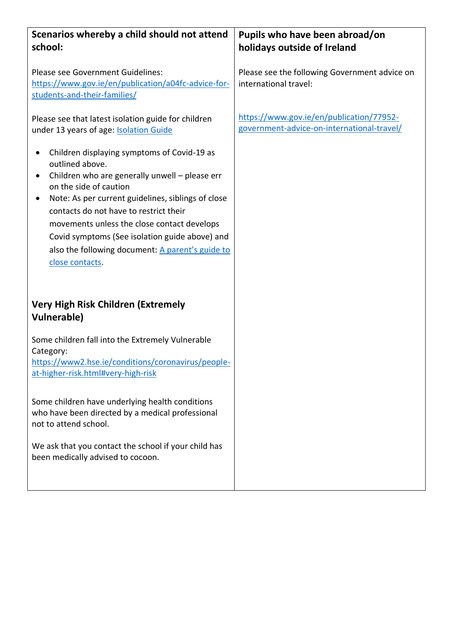| Scenarios whereby a child should not attend<br>school:                                                                                                                                                                                                                                                                                                                                                             | Pupils who have been abroad/on<br>holidays outside of Ireland                          |
|--------------------------------------------------------------------------------------------------------------------------------------------------------------------------------------------------------------------------------------------------------------------------------------------------------------------------------------------------------------------------------------------------------------------|----------------------------------------------------------------------------------------|
| Please see Government Guidelines:<br>https://www.gov.ie/en/publication/a04fc-advice-for-<br>students-and-their-families/                                                                                                                                                                                                                                                                                           | Please see the following Government advice on<br>international travel:                 |
| Please see that latest isolation guide for children<br>under 13 years of age: <b>Isolation Guide</b>                                                                                                                                                                                                                                                                                                               | https://www.gov.ie/en/publication/77952-<br>government-advice-on-international-travel/ |
| Children displaying symptoms of Covid-19 as<br>outlined above.<br>Children who are generally unwell - please err<br>on the side of caution<br>Note: As per current guidelines, siblings of close<br>contacts do not have to restrict their<br>movements unless the close contact develops<br>Covid symptoms (See isolation guide above) and<br>also the following document: A parent's guide to<br>close contacts. |                                                                                        |
| <b>Very High Risk Children (Extremely</b><br><b>Vulnerable)</b>                                                                                                                                                                                                                                                                                                                                                    |                                                                                        |
| Some children fall into the Extremely Vulnerable<br>Category:<br>https://www2.hse.ie/conditions/coronavirus/people-<br>at-higher-risk.html#very-high-risk                                                                                                                                                                                                                                                          |                                                                                        |
| Some children have underlying health conditions<br>who have been directed by a medical professional<br>not to attend school.                                                                                                                                                                                                                                                                                       |                                                                                        |
| We ask that you contact the school if your child has<br>been medically advised to cocoon.                                                                                                                                                                                                                                                                                                                          |                                                                                        |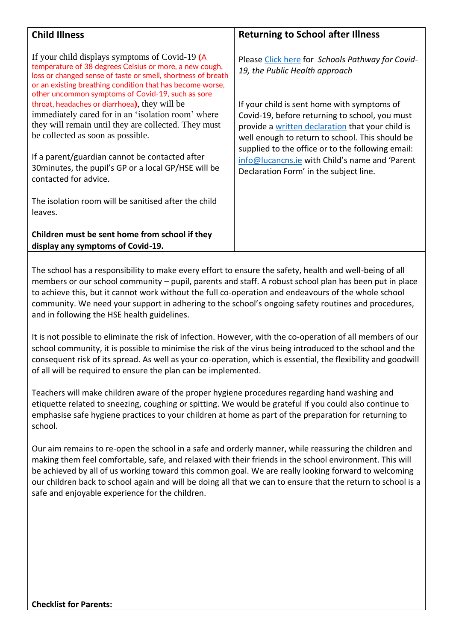| <b>Child Illness</b>                                                                                                                                                                                                                                                                                               | <b>Returning to School after Illness</b>                                                                                                                                                             |
|--------------------------------------------------------------------------------------------------------------------------------------------------------------------------------------------------------------------------------------------------------------------------------------------------------------------|------------------------------------------------------------------------------------------------------------------------------------------------------------------------------------------------------|
| If your child displays symptoms of Covid-19 (A<br>temperature of 38 degrees Celsius or more, a new cough,<br>loss or changed sense of taste or smell, shortness of breath                                                                                                                                          | Please Click here for Schools Pathway for Covid-<br>19, the Public Health approach                                                                                                                   |
| or an existing breathing condition that has become worse,<br>other uncommon symptoms of Covid-19, such as sore<br>throat, headaches or diarrhoea), they will be<br>immediately cared for in an 'isolation room' where<br>they will remain until they are collected. They must<br>be collected as soon as possible. | If your child is sent home with symptoms of<br>Covid-19, before returning to school, you must<br>provide a written declaration that your child is<br>well enough to return to school. This should be |
| If a parent/guardian cannot be contacted after<br>30 minutes, the pupil's GP or a local GP/HSE will be<br>contacted for advice.                                                                                                                                                                                    | supplied to the office or to the following email:<br>info@lucancns.ie with Child's name and 'Parent<br>Declaration Form' in the subject line.                                                        |
| The isolation room will be sanitised after the child<br>leaves.                                                                                                                                                                                                                                                    |                                                                                                                                                                                                      |
| Children must be sent home from school if they<br>display any symptoms of Covid-19.                                                                                                                                                                                                                                |                                                                                                                                                                                                      |

The school has a responsibility to make every effort to ensure the safety, health and well-being of all members or our school community – pupil, parents and staff. A robust school plan has been put in place to achieve this, but it cannot work without the full co-operation and endeavours of the whole school community. We need your support in adhering to the school's ongoing safety routines and procedures, and in following the HSE health guidelines.

It is not possible to eliminate the risk of infection. However, with the co-operation of all members of our school community, it is possible to minimise the risk of the virus being introduced to the school and the consequent risk of its spread. As well as your co-operation, which is essential, the flexibility and goodwill of all will be required to ensure the plan can be implemented.

Teachers will make children aware of the proper hygiene procedures regarding hand washing and etiquette related to sneezing, coughing or spitting. We would be grateful if you could also continue to emphasise safe hygiene practices to your children at home as part of the preparation for returning to school.

Our aim remains to re-open the school in a safe and orderly manner, while reassuring the children and making them feel comfortable, safe, and relaxed with their friends in the school environment. This will be achieved by all of us working toward this common goal. We are really looking forward to welcoming our children back to school again and will be doing all that we can to ensure that the return to school is a safe and enjoyable experience for the children.